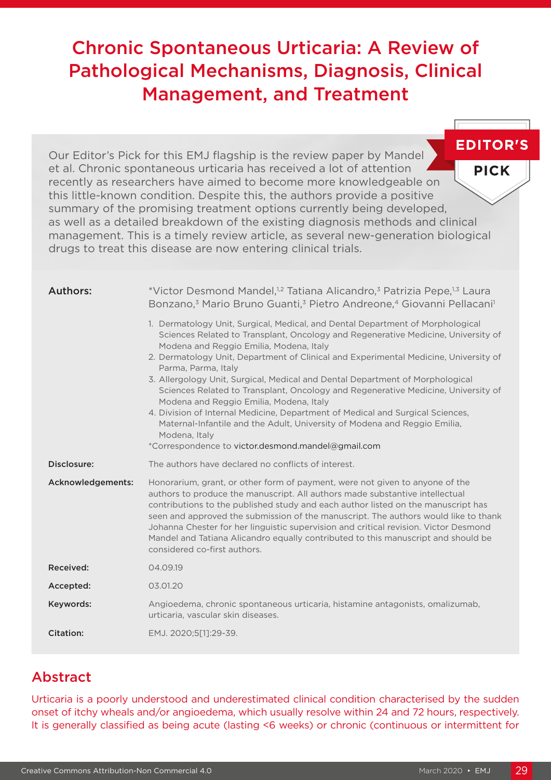# Chronic Spontaneous Urticaria: A Review of Pathological Mechanisms, Diagnosis, Clinical Management, and Treatment

**EDITOR'S** Our Editor's Pick for this EMJ flagship is the review paper by Mandel et al. Chronic spontaneous urticaria has received a lot of attention **PICK** recently as researchers have aimed to become more knowledgeable on this little-known condition. Despite this, the authors provide a positive summary of the promising treatment options currently being developed, as well as a detailed breakdown of the existing diagnosis methods and clinical management. This is a timely review article, as several new-generation biological drugs to treat this disease are now entering clinical trials.

| Authors:          | *Victor Desmond Mandel, <sup>1,2</sup> Tatiana Alicandro, <sup>3</sup> Patrizia Pepe, <sup>1,3</sup> Laura<br>Bonzano, <sup>3</sup> Mario Bruno Guanti, <sup>3</sup> Pietro Andreone, <sup>4</sup> Giovanni Pellacani <sup>1</sup>                                                                                                                                                                                                                                                                                                                                                                                                                                                                                                                                                   |
|-------------------|--------------------------------------------------------------------------------------------------------------------------------------------------------------------------------------------------------------------------------------------------------------------------------------------------------------------------------------------------------------------------------------------------------------------------------------------------------------------------------------------------------------------------------------------------------------------------------------------------------------------------------------------------------------------------------------------------------------------------------------------------------------------------------------|
|                   | 1. Dermatology Unit, Surgical, Medical, and Dental Department of Morphological<br>Sciences Related to Transplant, Oncology and Regenerative Medicine, University of<br>Modena and Reggio Emilia, Modena, Italy<br>2. Dermatology Unit, Department of Clinical and Experimental Medicine, University of<br>Parma, Parma, Italy<br>3. Allergology Unit, Surgical, Medical and Dental Department of Morphological<br>Sciences Related to Transplant, Oncology and Regenerative Medicine, University of<br>Modena and Reggio Emilia, Modena, Italy<br>4. Division of Internal Medicine, Department of Medical and Surgical Sciences,<br>Maternal-Infantile and the Adult, University of Modena and Reggio Emilia,<br>Modena, Italy<br>*Correspondence to victor.desmond.mandel@gmail.com |
| Disclosure:       | The authors have declared no conflicts of interest.                                                                                                                                                                                                                                                                                                                                                                                                                                                                                                                                                                                                                                                                                                                                  |
| Acknowledgements: | Honorarium, grant, or other form of payment, were not given to anyone of the<br>authors to produce the manuscript. All authors made substantive intellectual<br>contributions to the published study and each author listed on the manuscript has<br>seen and approved the submission of the manuscript. The authors would like to thank<br>Johanna Chester for her linguistic supervision and critical revision. Victor Desmond                                                                                                                                                                                                                                                                                                                                                     |
|                   | Mandel and Tatiana Alicandro equally contributed to this manuscript and should be<br>considered co-first authors.                                                                                                                                                                                                                                                                                                                                                                                                                                                                                                                                                                                                                                                                    |
| Received:         | 04.09.19                                                                                                                                                                                                                                                                                                                                                                                                                                                                                                                                                                                                                                                                                                                                                                             |
| Accepted:         | 03.01.20                                                                                                                                                                                                                                                                                                                                                                                                                                                                                                                                                                                                                                                                                                                                                                             |
| Keywords:         | Angioedema, chronic spontaneous urticaria, histamine antagonists, omalizumab,<br>urticaria, vascular skin diseases.                                                                                                                                                                                                                                                                                                                                                                                                                                                                                                                                                                                                                                                                  |

## Abstract

Urticaria is a poorly understood and underestimated clinical condition characterised by the sudden onset of itchy wheals and/or angioedema, which usually resolve within 24 and 72 hours, respectively. It is generally classified as being acute (lasting <6 weeks) or chronic (continuous or intermittent for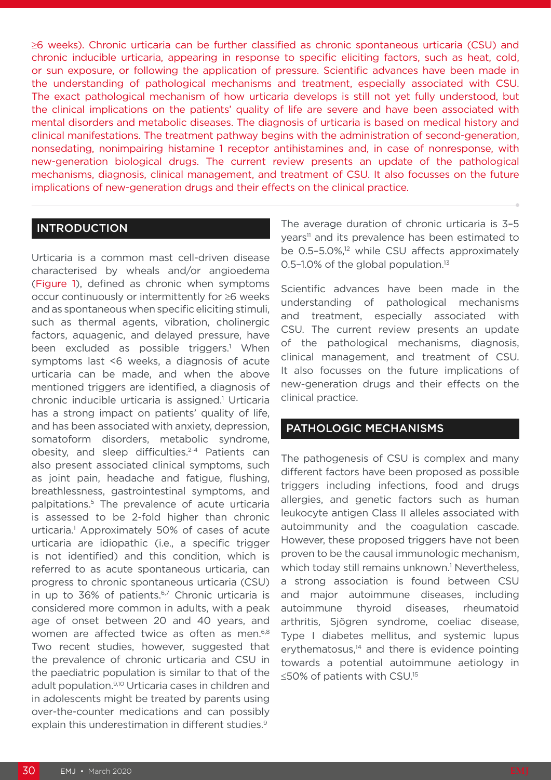≥6 weeks). Chronic urticaria can be further classified as chronic spontaneous urticaria (CSU) and chronic inducible urticaria, appearing in response to specific eliciting factors, such as heat, cold, or sun exposure, or following the application of pressure. Scientific advances have been made in the understanding of pathological mechanisms and treatment, especially associated with CSU. The exact pathological mechanism of how urticaria develops is still not yet fully understood, but the clinical implications on the patients' quality of life are severe and have been associated with mental disorders and metabolic diseases. The diagnosis of urticaria is based on medical history and clinical manifestations. The treatment pathway begins with the administration of second-generation, nonsedating, nonimpairing histamine 1 receptor antihistamines and, in case of nonresponse, with new-generation biological drugs. The current review presents an update of the pathological mechanisms, diagnosis, clinical management, and treatment of CSU. It also focusses on the future implications of new-generation drugs and their effects on the clinical practice.

### INTRODUCTION

Urticaria is a common mast cell-driven disease characterised by wheals and/or angioedema (Figure 1), defined as chronic when symptoms occur continuously or intermittently for ≥6 weeks and as spontaneous when specific eliciting stimuli, such as thermal agents, vibration, cholinergic factors, aquagenic, and delayed pressure, have been excluded as possible triggers.<sup>1</sup> When symptoms last <6 weeks, a diagnosis of acute urticaria can be made, and when the above mentioned triggers are identified, a diagnosis of chronic inducible urticaria is assigned.<sup>1</sup> Urticaria has a strong impact on patients' quality of life, and has been associated with anxiety, depression, somatoform disorders, metabolic syndrome, obesity, and sleep difficulties.2-4 Patients can also present associated clinical symptoms, such as joint pain, headache and fatigue, flushing, breathlessness, gastrointestinal symptoms, and palpitations.5 The prevalence of acute urticaria is assessed to be 2-fold higher than chronic urticaria.<sup>1</sup> Approximately 50% of cases of acute urticaria are idiopathic (i.e., a specific trigger is not identified) and this condition, which is referred to as acute spontaneous urticaria, can progress to chronic spontaneous urticaria (CSU) in up to  $36\%$  of patients.<sup>6,7</sup> Chronic urticaria is considered more common in adults, with a peak age of onset between 20 and 40 years, and women are affected twice as often as men.<sup>6,8</sup> Two recent studies, however, suggested that the prevalence of chronic urticaria and CSU in the paediatric population is similar to that of the adult population.9,10 Urticaria cases in children and in adolescents might be treated by parents using over-the-counter medications and can possibly explain this underestimation in different studies.<sup>9</sup>

The average duration of chronic urticaria is 3–5 years<sup>11</sup> and its prevalence has been estimated to be 0.5-5.0%,<sup>12</sup> while CSU affects approximately 0.5-1.0% of the global population.<sup>13</sup>

Scientific advances have been made in the understanding of pathological mechanisms and treatment, especially associated with CSU. The current review presents an update of the pathological mechanisms, diagnosis, clinical management, and treatment of CSU. It also focusses on the future implications of new-generation drugs and their effects on the clinical practice.

#### PATHOLOGIC MECHANISMS

The pathogenesis of CSU is complex and many different factors have been proposed as possible triggers including infections, food and drugs allergies, and genetic factors such as human leukocyte antigen Class II alleles associated with autoimmunity and the coagulation cascade. However, these proposed triggers have not been proven to be the causal immunologic mechanism, which today still remains unknown.<sup>1</sup> Nevertheless, a strong association is found between CSU and major autoimmune diseases, including autoimmune thyroid diseases, rheumatoid arthritis, Sjögren syndrome, coeliac disease, Type I diabetes mellitus, and systemic lupus erythematosus, $14$  and there is evidence pointing towards a potential autoimmune aetiology in ≤50% of patients with CSU.15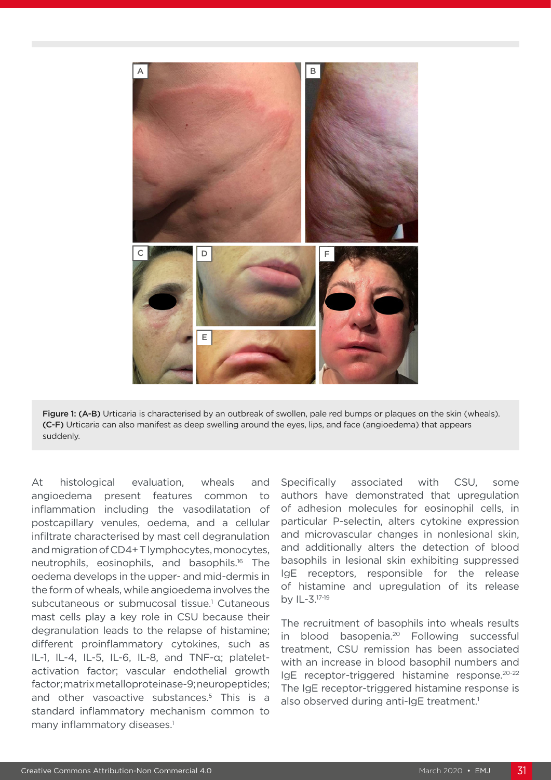

Figure 1: (A-B) Urticaria is characterised by an outbreak of swollen, pale red bumps or plaques on the skin (wheals). (C-F) Urticaria can also manifest as deep swelling around the eyes, lips, and face (angioedema) that appears suddenly.

At histological evaluation, wheals and angioedema present features common to inflammation including the vasodilatation of postcapillary venules, oedema, and a cellular infiltrate characterised by mast cell degranulation and migration of CD4+ T lymphocytes, monocytes, neutrophils, eosinophils, and basophils.16 The oedema develops in the upper- and mid-dermis in the form of wheals, while angioedema involves the subcutaneous or submucosal tissue.<sup>1</sup> Cutaneous mast cells play a key role in CSU because their degranulation leads to the relapse of histamine; different proinflammatory cytokines, such as IL-1, IL-4, IL-5, IL-6, IL-8, and TNF-α; plateletactivation factor; vascular endothelial growth factor; matrix metalloproteinase-9; neuropeptides; and other vasoactive substances.<sup>5</sup> This is a standard inflammatory mechanism common to many inflammatory diseases.<sup>1</sup>

Specifically associated with CSU, some authors have demonstrated that upregulation of adhesion molecules for eosinophil cells, in particular P-selectin, alters cytokine expression and microvascular changes in nonlesional skin, and additionally alters the detection of blood basophils in lesional skin exhibiting suppressed IgE receptors, responsible for the release of histamine and upregulation of its release by IL-3.17-19

The recruitment of basophils into wheals results in blood basopenia.<sup>20</sup> Following successful treatment, CSU remission has been associated with an increase in blood basophil numbers and IgE receptor-triggered histamine response.20-22 The IgE receptor-triggered histamine response is also observed during anti-IgE treatment.<sup>1</sup>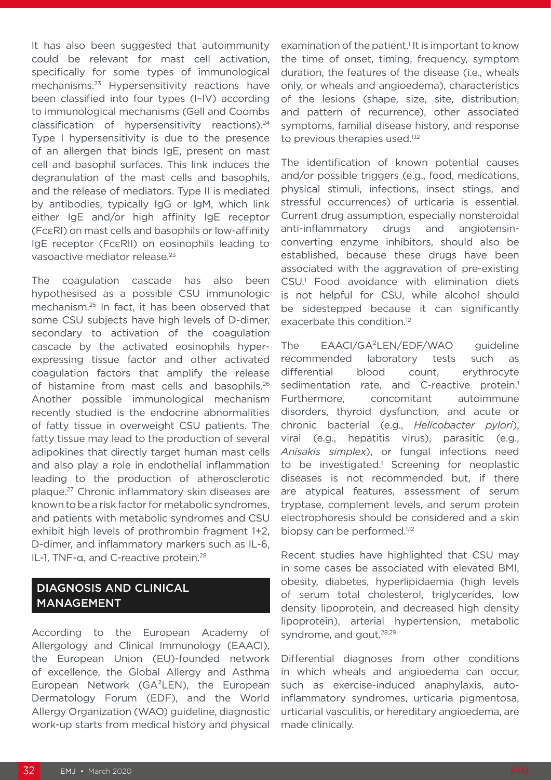It has also been suggested that autoimmunity could be relevant for mast cell activation, specifically for some types of immunological mechanisms.23 Hypersensitivity reactions have been classified into four types (I–IV) according to immunological mechanisms (Gell and Coombs classification of hypersensitivity reactions).24 Type I hypersensitivity is due to the presence of an allergen that binds IgE, present on mast cell and basophil surfaces. This link induces the degranulation of the mast cells and basophils, and the release of mediators. Type II is mediated by antibodies, typically IgG or IgM, which link either IgE and/or high affinity IgE receptor (FcεRI) on mast cells and basophils or low-affinity IgE receptor (FcεRII) on eosinophils leading to vasoactive mediator release.<sup>23</sup>

The coagulation cascade has also been hypothesised as a possible CSU immunologic mechanism.25 In fact, it has been observed that some CSU subjects have high levels of D-dimer, secondary to activation of the coagulation cascade by the activated eosinophils hyperexpressing tissue factor and other activated coagulation factors that amplify the release of histamine from mast cells and basophils.<sup>26</sup> Another possible immunological mechanism recently studied is the endocrine abnormalities of fatty tissue in overweight CSU patients. The fatty tissue may lead to the production of several adipokines that directly target human mast cells and also play a role in endothelial inflammation leading to the production of atherosclerotic plaque.27 Chronic inflammatory skin diseases are known to be a risk factor for metabolic syndromes, and patients with metabolic syndromes and CSU exhibit high levels of prothrombin fragment 1+2, D-dimer, and inflammatory markers such as IL-6, IL-1, TNF-α, and C-reactive protein.28

## DIAGNOSIS AND CLINICAL MANAGEMENT

According to the European Academy of Allergology and Clinical Immunology (EAACI), the European Union (EU)-founded network of excellence, the Global Allergy and Asthma European Network (GA²LEN), the European Dermatology Forum (EDF), and the World Allergy Organization (WAO) guideline, diagnostic work-up starts from medical history and physical

examination of the patient.<sup>1</sup> It is important to know the time of onset, timing, frequency, symptom duration, the features of the disease (i.e., wheals only, or wheals and angioedema), characteristics of the lesions (shape, size, site, distribution, and pattern of recurrence), other associated symptoms, familial disease history, and response to previous therapies used.<sup>1,12</sup>

The identification of known potential causes and/or possible triggers (e.g., food, medications, physical stimuli, infections, insect stings, and stressful occurrences) of urticaria is essential. Current drug assumption, especially nonsteroidal anti-inflammatory drugs and angiotensinconverting enzyme inhibitors, should also be established, because these drugs have been associated with the aggravation of pre-existing CSU.1 Food avoidance with elimination diets is not helpful for CSU, while alcohol should be sidestepped because it can significantly exacerbate this condition.<sup>12</sup>

The EAACI/GA²LEN/EDF/WAO guideline recommended laboratory tests such as differential blood count, erythrocyte sedimentation rate, and C-reactive protein.<sup>1</sup> Furthermore, concomitant autoimmune disorders, thyroid dysfunction, and acute or chronic bacterial (e.g., *Helicobacter pylori*), viral (e.g., hepatitis virus), parasitic (e.g., *Anisakis simplex*), or fungal infections need to be investigated.<sup>1</sup> Screening for neoplastic diseases is not recommended but, if there are atypical features, assessment of serum tryptase, complement levels, and serum protein electrophoresis should be considered and a skin biopsy can be performed.<sup>1,12</sup>

Recent studies have highlighted that CSU may in some cases be associated with elevated BMI, obesity, diabetes, hyperlipidaemia (high levels of serum total cholesterol, triglycerides, low density lipoprotein, and decreased high density lipoprotein), arterial hypertension, metabolic syndrome, and gout.<sup>28,29</sup>

Differential diagnoses from other conditions in which wheals and angioedema can occur, such as exercise-induced anaphylaxis, autoinflammatory syndromes, urticaria pigmentosa, urticarial vasculitis, or hereditary angioedema, are made clinically.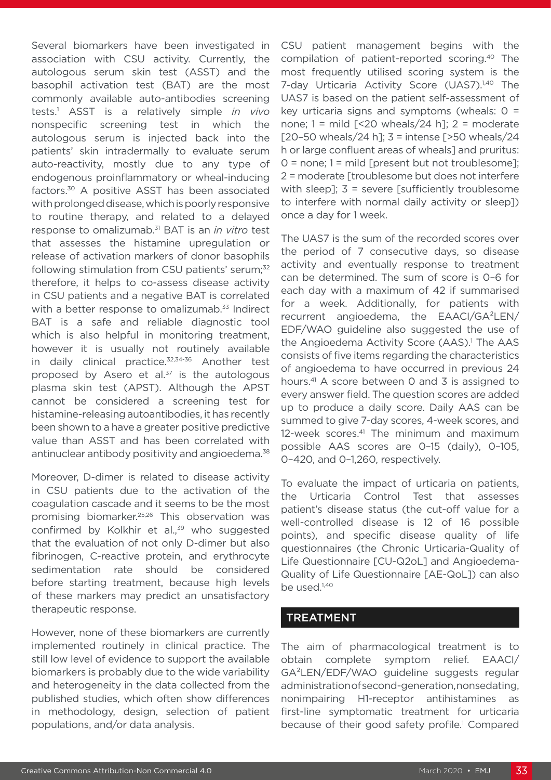Several biomarkers have been investigated in association with CSU activity. Currently, the autologous serum skin test (ASST) and the basophil activation test (BAT) are the most commonly available auto-antibodies screening tests.1 ASST is a relatively simple *in vivo* nonspecific screening test in which the autologous serum is injected back into the patients' skin intradermally to evaluate serum auto-reactivity, mostly due to any type of endogenous proinflammatory or wheal-inducing factors.30 A positive ASST has been associated with prolonged disease, which is poorly responsive to routine therapy, and related to a delayed response to omalizumab.31 BAT is an *in vitro* test that assesses the histamine upregulation or release of activation markers of donor basophils following stimulation from CSU patients' serum;<sup>32</sup> therefore, it helps to co-assess disease activity in CSU patients and a negative BAT is correlated with a better response to omalizumab.<sup>33</sup> Indirect BAT is a safe and reliable diagnostic tool which is also helpful in monitoring treatment, however it is usually not routinely available in daily clinical practice. $32,34-36$  Another test proposed by Asero et al.<sup>37</sup> is the autologous plasma skin test (APST). Although the APST cannot be considered a screening test for histamine-releasing autoantibodies, it has recently been shown to a have a greater positive predictive value than ASST and has been correlated with antinuclear antibody positivity and angioedema.<sup>38</sup>

Moreover, D-dimer is related to disease activity in CSU patients due to the activation of the coagulation cascade and it seems to be the most promising biomarker.25,26 This observation was confirmed by Kolkhir et al.,<sup>39</sup> who suggested that the evaluation of not only D-dimer but also fibrinogen, C-reactive protein, and erythrocyte sedimentation rate should be considered before starting treatment, because high levels of these markers may predict an unsatisfactory therapeutic response.

However, none of these biomarkers are currently implemented routinely in clinical practice. The still low level of evidence to support the available biomarkers is probably due to the wide variability and heterogeneity in the data collected from the published studies, which often show differences in methodology, design, selection of patient populations, and/or data analysis.

CSU patient management begins with the compilation of patient-reported scoring.40 The most frequently utilised scoring system is the 7-day Urticaria Activity Score (UAS7).<sup>1,40</sup> The UAS7 is based on the patient self-assessment of key urticaria signs and symptoms (wheals:  $0 =$ none;  $1 = \text{mild }$  [<20 wheals/24 h];  $2 = \text{moderate}$ [20-50 wheals/24 h];  $3 =$  intense [>50 wheals/24 h or large confluent areas of wheals] and pruritus: 0 = none; 1 = mild [present but not troublesome]; 2 = moderate [troublesome but does not interfere with sleep]; 3 = severe [sufficiently troublesome to interfere with normal daily activity or sleep]) once a day for 1 week.

The UAS7 is the sum of the recorded scores over the period of 7 consecutive days, so disease activity and eventually response to treatment can be determined. The sum of score is 0–6 for each day with a maximum of 42 if summarised for a week. Additionally, for patients with recurrent angioedema, the EAACI/GA²LEN/ EDF/WAO guideline also suggested the use of the Angioedema Activity Score (AAS).<sup>1</sup> The AAS consists of five items regarding the characteristics of angioedema to have occurred in previous 24 hours.41 A score between 0 and 3 is assigned to every answer field. The question scores are added up to produce a daily score. Daily AAS can be summed to give 7-day scores, 4-week scores, and 12-week scores.<sup>41</sup> The minimum and maximum possible AAS scores are 0–15 (daily), 0–105, 0–420, and 0–1,260, respectively.

To evaluate the impact of urticaria on patients, the Urticaria Control Test that assesses patient's disease status (the cut-off value for a well-controlled disease is 12 of 16 possible points), and specific disease quality of life questionnaires (the Chronic Urticaria-Quality of Life Questionnaire [CU-Q2oL] and Angioedema-Quality of Life Questionnaire [AE-QoL]) can also be used.<sup>1,40</sup>

### TREATMENT

The aim of pharmacological treatment is to obtain complete symptom relief. EAACI/ GA²LEN/EDF/WAO guideline suggests regular administration of second-generation, nonsedating, nonimpairing H1-receptor antihistamines as first-line symptomatic treatment for urticaria because of their good safety profile.<sup>1</sup> Compared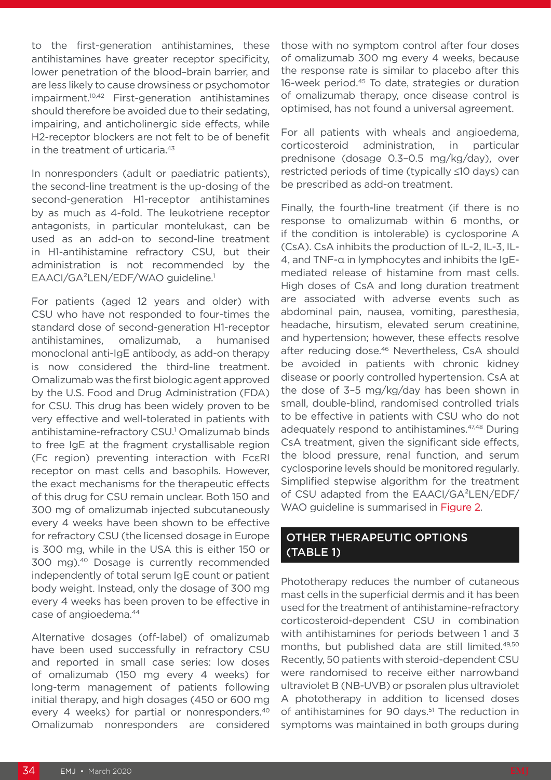to the first-generation antihistamines, these antihistamines have greater receptor specificity, lower penetration of the blood–brain barrier, and are less likely to cause drowsiness or psychomotor impairment.10,42 First-generation antihistamines should therefore be avoided due to their sedating, impairing, and anticholinergic side effects, while H2-receptor blockers are not felt to be of benefit in the treatment of urticaria.<sup>43</sup>

In nonresponders (adult or paediatric patients), the second-line treatment is the up-dosing of the second-generation H1-receptor antihistamines by as much as 4-fold. The leukotriene receptor antagonists, in particular montelukast, can be used as an add-on to second-line treatment in H1-antihistamine refractory CSU, but their administration is not recommended by the EAACI/GA²LEN/EDF/WAO guideline.1

For patients (aged 12 years and older) with CSU who have not responded to four-times the standard dose of second-generation H1-receptor antihistamines, omalizumab, a humanised monoclonal anti-IgE antibody, as add-on therapy is now considered the third-line treatment. Omalizumab was the first biologic agent approved by the U.S. Food and Drug Administration (FDA) for CSU. This drug has been widely proven to be very effective and well-tolerated in patients with antihistamine-refractory CSU.<sup>1</sup> Omalizumab binds to free IgE at the fragment crystallisable region (Fc region) preventing interaction with FcεRI receptor on mast cells and basophils. However, the exact mechanisms for the therapeutic effects of this drug for CSU remain unclear. Both 150 and 300 mg of omalizumab injected subcutaneously every 4 weeks have been shown to be effective for refractory CSU (the licensed dosage in Europe is 300 mg, while in the USA this is either 150 or 300 mg).40 Dosage is currently recommended independently of total serum IgE count or patient body weight. Instead, only the dosage of 300 mg every 4 weeks has been proven to be effective in case of angioedema.44

Alternative dosages (off-label) of omalizumab have been used successfully in refractory CSU and reported in small case series: low doses of omalizumab (150 mg every 4 weeks) for long-term management of patients following initial therapy, and high dosages (450 or 600 mg every 4 weeks) for partial or nonresponders.40 Omalizumab nonresponders are considered those with no symptom control after four doses of omalizumab 300 mg every 4 weeks, because the response rate is similar to placebo after this 16-week period.45 To date, strategies or duration of omalizumab therapy, once disease control is optimised, has not found a universal agreement.

For all patients with wheals and angioedema, corticosteroid administration, in particular prednisone (dosage 0.3–0.5 mg/kg/day), over restricted periods of time (typically ≤10 days) can be prescribed as add-on treatment.

Finally, the fourth-line treatment (if there is no response to omalizumab within 6 months, or if the condition is intolerable) is cyclosporine A (CsA). CsA inhibits the production of IL-2, IL-3, IL-4, and TNF-α in lymphocytes and inhibits the IgEmediated release of histamine from mast cells. High doses of CsA and long duration treatment are associated with adverse events such as abdominal pain, nausea, vomiting, paresthesia, headache, hirsutism, elevated serum creatinine, and hypertension; however, these effects resolve after reducing dose.<sup>46</sup> Nevertheless, CsA should be avoided in patients with chronic kidney disease or poorly controlled hypertension. CsA at the dose of 3–5 mg/kg/day has been shown in small, double-blind, randomised controlled trials to be effective in patients with CSU who do not adequately respond to antihistamines.<sup>47,48</sup> During CsA treatment, given the significant side effects, the blood pressure, renal function, and serum cyclosporine levels should be monitored regularly. Simplified stepwise algorithm for the treatment of CSU adapted from the EAACI/GA²LEN/EDF/ WAO guideline is summarised in Figure 2.

## OTHER THERAPEUTIC OPTIONS (TABLE 1)

Phototherapy reduces the number of cutaneous mast cells in the superficial dermis and it has been used for the treatment of antihistamine-refractory corticosteroid-dependent CSU in combination with antihistamines for periods between 1 and 3 months, but published data are still limited.49,50 Recently, 50 patients with steroid-dependent CSU were randomised to receive either narrowband ultraviolet B (NB-UVB) or psoralen plus ultraviolet A phototherapy in addition to licensed doses of antihistamines for 90 days.<sup>51</sup> The reduction in symptoms was maintained in both groups during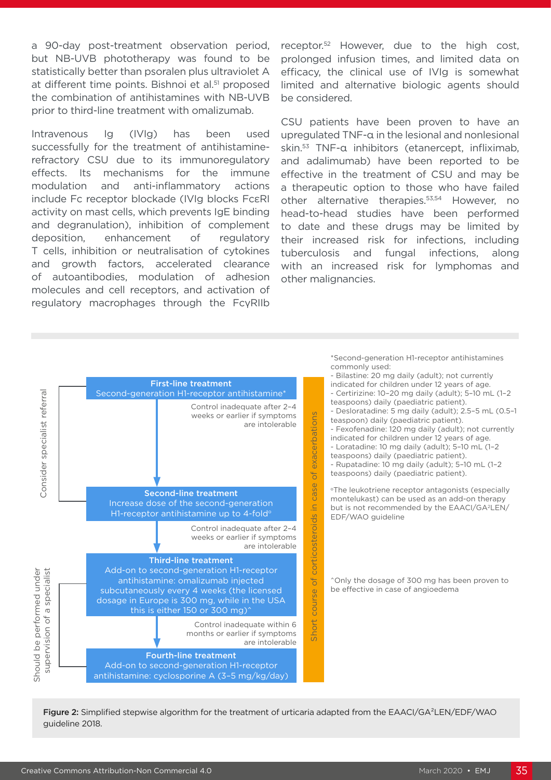a 90-day post-treatment observation period, but NB-UVB phototherapy was found to be statistically better than psoralen plus ultraviolet A at different time points. Bishnoi et al.<sup>51</sup> proposed the combination of antihistamines with NB-UVB prior to third-line treatment with omalizumab.

Intravenous Ig (IVIg) has been used successfully for the treatment of antihistaminerefractory CSU due to its immunoregulatory effects. Its mechanisms for the immune modulation and anti-inflammatory actions include Fc receptor blockade (IVIg blocks FcεRI activity on mast cells, which prevents IgE binding and degranulation), inhibition of complement deposition, enhancement of regulatory T cells, inhibition or neutralisation of cytokines and growth factors, accelerated clearance of autoantibodies, modulation of adhesion molecules and cell receptors, and activation of regulatory macrophages through the FcγRIIb

receptor.52 However, due to the high cost, prolonged infusion times, and limited data on efficacy, the clinical use of IVIg is somewhat limited and alternative biologic agents should be considered.

CSU patients have been proven to have an upregulated TNF-α in the lesional and nonlesional skin.53 TNF-α inhibitors (etanercept, infliximab, and adalimumab) have been reported to be effective in the treatment of CSU and may be a therapeutic option to those who have failed other alternative therapies.53,54 However, no head-to-head studies have been performed to date and these drugs may be limited by their increased risk for infections, including tuberculosis and fungal infections, along with an increased risk for lymphomas and other malignancies.



Figure 2: Simplified stepwise algorithm for the treatment of urticaria adapted from the EAACI/GA<sup>2</sup>LEN/EDF/WAO guideline 2018.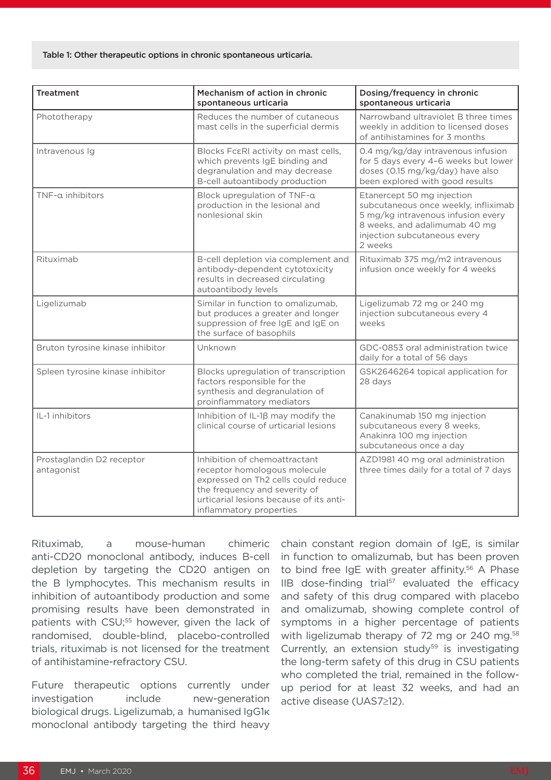#### Table 1: Other therapeutic options in chronic spontaneous urticaria.

| <b>Treatment</b>                        | Mechanism of action in chronic<br>spontaneous urticaria                                                                                                                                                     | Dosing/frequency in chronic<br>spontaneous urticaria                                                                                                                                 |
|-----------------------------------------|-------------------------------------------------------------------------------------------------------------------------------------------------------------------------------------------------------------|--------------------------------------------------------------------------------------------------------------------------------------------------------------------------------------|
| Phototherapy                            | Reduces the number of cutaneous<br>mast cells in the superficial dermis                                                                                                                                     | Narrowband ultraviolet B three times<br>weekly in addition to licensed doses<br>of antihistamines for 3 months                                                                       |
| Intravenous Iq                          | Blocks FcsRI activity on mast cells,<br>which prevents IgE binding and<br>degranulation and may decrease<br>B-cell autoantibody production                                                                  | 0.4 mg/kg/day intravenous infusion<br>for 5 days every 4-6 weeks but lower<br>doses (0.15 mg/kg/day) have also<br>been explored with good results                                    |
| TNF-a inhibitors                        | Block upregulation of TNF-a<br>production in the lesional and<br>nonlesional skin                                                                                                                           | Etanercept 50 mg injection<br>subcutaneous once weekly, infliximab<br>5 mg/kg intravenous infusion every<br>8 weeks, and adalimumab 40 mg<br>injection subcutaneous every<br>2 weeks |
| Rituximab                               | B-cell depletion via complement and<br>antibody-dependent cytotoxicity<br>results in decreased circulating<br>autoantibody levels                                                                           | Rituximab 375 mg/m2 intravenous<br>infusion once weekly for 4 weeks                                                                                                                  |
| Ligelizumab                             | Similar in function to omalizumab,<br>but produces a greater and longer<br>suppression of free IgE and IgE on<br>the surface of basophils                                                                   | Ligelizumab 72 mg or 240 mg<br>injection subcutaneous every 4<br>weeks                                                                                                               |
| Bruton tyrosine kinase inhibitor        | Unknown                                                                                                                                                                                                     | GDC-0853 oral administration twice<br>daily for a total of 56 days                                                                                                                   |
| Spleen tyrosine kinase inhibitor        | Blocks upregulation of transcription<br>factors responsible for the<br>synthesis and degranulation of<br>proinflammatory mediators                                                                          | GSK2646264 topical application for<br>28 days                                                                                                                                        |
| IL-1 inhibitors                         | Inhibition of IL-18 may modify the<br>clinical course of urticarial lesions                                                                                                                                 | Canakinumab 150 mg injection<br>subcutaneous every 8 weeks,<br>Anakinra 100 mg injection<br>subcutaneous once a day                                                                  |
| Prostaglandin D2 receptor<br>antagonist | Inhibition of chemoattractant<br>receptor homologous molecule<br>expressed on Th2 cells could reduce<br>the frequency and severity of<br>urticarial lesions because of its anti-<br>inflammatory properties | AZD1981 40 mg oral administration<br>three times daily for a total of 7 days                                                                                                         |

Rituximab, a mouse-human chimeric anti-CD20 monoclonal antibody, induces B-cell depletion by targeting the CD20 antigen on the B lymphocytes. This mechanism results in inhibition of autoantibody production and some promising results have been demonstrated in patients with CSU;<sup>55</sup> however, given the lack of randomised, double-blind, placebo-controlled trials, rituximab is not licensed for the treatment of antihistamine-refractory CSU.

Future therapeutic options currently under investigation include new-generation biological drugs. Ligelizumab, a humanised IgG1κ monoclonal antibody targeting the third heavy

chain constant region domain of IgE, is similar in function to omalizumab, but has been proven to bind free IgE with greater affinity.<sup>56</sup> A Phase  $IIB$  dose-finding trial<sup>57</sup> evaluated the efficacy and safety of this drug compared with placebo and omalizumab, showing complete control of symptoms in a higher percentage of patients with ligelizumab therapy of 72 mg or 240 mg.<sup>58</sup> Currently, an extension study $59$  is investigating the long-term safety of this drug in CSU patients who completed the trial, remained in the followup period for at least 32 weeks, and had an active disease (UAS7≥12).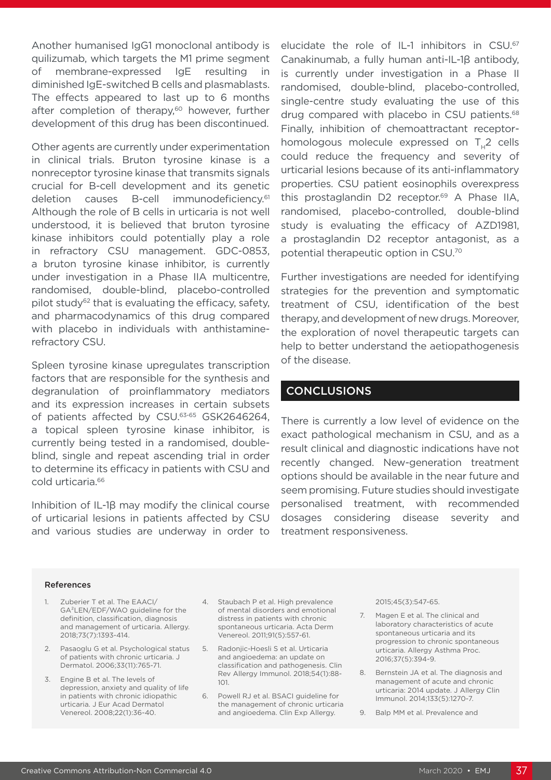Another humanised IgG1 monoclonal antibody is quilizumab, which targets the M1 prime segment of membrane-expressed IgE resulting in diminished IgE-switched B cells and plasmablasts. The effects appeared to last up to 6 months after completion of therapy,<sup>60</sup> however, further development of this drug has been discontinued.

Other agents are currently under experimentation in clinical trials. Bruton tyrosine kinase is a nonreceptor tyrosine kinase that transmits signals crucial for B-cell development and its genetic deletion causes B-cell immunodeficiency.61 Although the role of B cells in urticaria is not well understood, it is believed that bruton tyrosine kinase inhibitors could potentially play a role in refractory CSU management. GDC-0853, a bruton tyrosine kinase inhibitor, is currently under investigation in a Phase IIA multicentre, randomised, double-blind, placebo-controlled pilot study $62$  that is evaluating the efficacy, safety, and pharmacodynamics of this drug compared with placebo in individuals with anthistaminerefractory CSU.

Spleen tyrosine kinase upregulates transcription factors that are responsible for the synthesis and degranulation of proinflammatory mediators and its expression increases in certain subsets of patients affected by CSU.63-65 GSK2646264, a topical spleen tyrosine kinase inhibitor, is currently being tested in a randomised, doubleblind, single and repeat ascending trial in order to determine its efficacy in patients with CSU and cold urticaria.<sup>66</sup>

Inhibition of IL-1β may modify the clinical course of urticarial lesions in patients affected by CSU and various studies are underway in order to elucidate the role of IL-1 inhibitors in CSU.67 Canakinumab, a fully human anti-IL-1β antibody, is currently under investigation in a Phase II randomised, double-blind, placebo-controlled, single-centre study evaluating the use of this drug compared with placebo in CSU patients.<sup>68</sup> Finally, inhibition of chemoattractant receptorhomologous molecule expressed on T<sub>1</sub>2 cells could reduce the frequency and severity of urticarial lesions because of its anti-inflammatory properties. CSU patient eosinophils overexpress this prostaglandin D2 receptor.<sup>69</sup> A Phase IIA, randomised, placebo-controlled, double-blind study is evaluating the efficacy of AZD1981, a prostaglandin D2 receptor antagonist, as a potential therapeutic option in CSU.70

Further investigations are needed for identifying strategies for the prevention and symptomatic treatment of CSU, identification of the best therapy, and development of new drugs. Moreover, the exploration of novel therapeutic targets can help to better understand the aetiopathogenesis of the disease.

#### CONCLUSIONS

There is currently a low level of evidence on the exact pathological mechanism in CSU, and as a result clinical and diagnostic indications have not recently changed. New-generation treatment options should be available in the near future and seem promising. Future studies should investigate personalised treatment, with recommended dosages considering disease severity and treatment responsiveness.

#### References

- 1. Zuberier T et al. The EAACI/ GA²LEN/EDF/WAO guideline for the definition, classification, diagnosis and management of urticaria. Allergy. 2018;73(7):1393-414.
- 2. Pasaoglu G et al. Psychological status of patients with chronic urticaria. J Dermatol. 2006;33(11):765-71.
- 3. Engine B et al. The levels of depression, anxiety and quality of life in patients with chronic idiopathic urticaria. J Eur Acad Dermatol Venereol. 2008;22(1):36-40.
- 4. Staubach P et al. High prevalence of mental disorders and emotional distress in patients with chronic spontaneous urticaria. Acta Derm Venereol. 2011;91(5):557-61.
- 5. Radonjic-Hoesli S et al. Urticaria and angioedema: an update on classification and pathogenesis. Clin Rev Allergy Immunol. 2018;54(1):88- 101.
- 6. Powell RJ et al. BSACI guideline for the management of chronic urticaria and angioedema. Clin Exp Allergy.

2015;45(3):547-65.

- 7. Magen E et al. The clinical and laboratory characteristics of acute spontaneous urticaria and its progression to chronic spontaneous urticaria. Allergy Asthma Proc. 2016;37(5):394-9.
- 8. Bernstein JA et al. The diagnosis and management of acute and chronic urticaria: 2014 update. J Allergy Clin Immunol. 2014;133(5):1270-7.
- 9. Balp MM et al. Prevalence and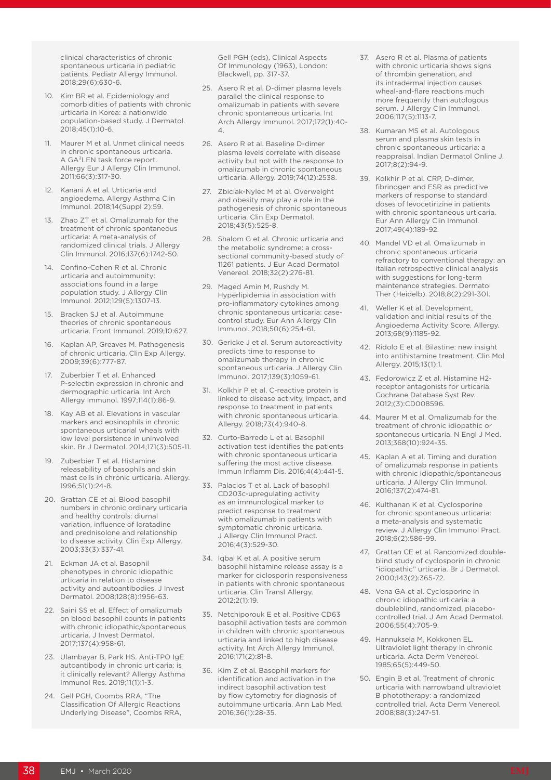clinical characteristics of chronic spontaneous urticaria in pediatric patients. Pediatr Allergy Immunol. 2018;29(6):630-6.

- 10. Kim BR et al. Epidemiology and comorbidities of patients with chronic urticaria in Korea: a nationwide population-based study. J Dermatol. 2018;45(1):10-6.
- Maurer M et al. Unmet clinical needs in chronic spontaneous urticaria. A GA²LEN task force report. Allergy Eur J Allergy Clin Immunol. 2011;66(3):317-30.
- 12. Kanani A et al. Urticaria and angioedema. Allergy Asthma Clin Immunol. 2018;14(Suppl 2):59.
- 13. Zhao ZT et al. Omalizumab for the treatment of chronic spontaneous urticaria: A meta-analysis of randomized clinical trials. J Allergy Clin Immunol. 2016;137(6):1742-50.
- 14. Confino-Cohen R et al. Chronic urticaria and autoimmunity: associations found in a large population study. J Allergy Clin Immunol. 2012;129(5):1307-13.
- 15. Bracken SJ et al. Autoimmune theories of chronic spontaneous urticaria. Front Immunol. 2019;10:627.
- 16. Kaplan AP, Greaves M. Pathogenesis of chronic urticaria. Clin Exp Allergy. 2009;39(6):777-87.
- 17. Zuberbier T et al. Enhanced P-selectin expression in chronic and dermographic urticaria. Int Arch Allergy Immunol. 1997;114(1):86-9.
- 18. Kay AB et al. Elevations in vascular markers and eosinophils in chronic spontaneous urticarial wheals with low level persistence in uninvolved skin. Br J Dermatol. 2014;171(3):505-11.
- 19. Zuberbier T et al. Histamine releasability of basophils and skin mast cells in chronic urticaria. Allergy. 1996;51(1):24-8.
- 20. Grattan CE et al. Blood basophil numbers in chronic ordinary urticaria and healthy controls: diurnal variation, influence of loratadine and prednisolone and relationship to disease activity. Clin Exp Allergy. 2003;33(3):337-41.
- 21. Eckman JA et al. Basophil phenotypes in chronic idiopathic urticaria in relation to disease activity and autoantibodies. J Invest Dermatol. 2008;128(8):1956-63.
- 22. Saini SS et al. Effect of omalizumab on blood basophil counts in patients with chronic idiopathic/spontaneous urticaria. J Invest Dermatol. 2017;137(4):958-61.
- 23. Ulambayar B, Park HS. Anti-TPO IgE autoantibody in chronic urticaria: is it clinically relevant? Allergy Asthma Immunol Res. 2019;11(1):1-3.
- 24. Gell PGH, Coombs RRA, "The Classification Of Allergic Reactions Underlying Disease", Coombs RRA,

Gell PGH (eds), Clinical Aspects Of Immunology (1963), London: Blackwell, pp. 317-37.

- 25. Asero R et al. D-dimer plasma levels parallel the clinical response to omalizumab in patients with severe chronic spontaneous urticaria. Int Arch Allergy Immunol. 2017;172(1):40- 4.
- 26. Asero R et al. Baseline D-dimer plasma levels correlate with disease activity but not with the response to omalizumab in chronic spontaneous urticaria. Allergy. 2019;74(12):2538.
- 27. Zbiciak-Nylec M et al. Overweight and obesity may play a role in the pathogenesis of chronic spontaneous urticaria. Clin Exp Dermatol. 2018;43(5):525-8.
- 28. Shalom G et al. Chronic urticaria and the metabolic syndrome: a crosssectional community-based study of 11261 patients. J Eur Acad Dermatol Venereol. 2018;32(2):276-81.
- 29. Maged Amin M, Rushdy M. Hyperlipidemia in association with pro-inflammatory cytokines among chronic spontaneous urticaria: casecontrol study. Eur Ann Allergy Clin Immunol. 2018;50(6):254-61.
- 30. Gericke J et al. Serum autoreactivity predicts time to response to omalizumab therapy in chronic spontaneous urticaria. J Allergy Clin Immunol. 2017;139(3):1059-61.
- 31. Kolkhir P et al. C-reactive protein is linked to disease activity, impact, and response to treatment in patients with chronic spontaneous urticaria. Allergy. 2018;73(4):940-8.
- 32. Curto-Barredo L et al. Basophil activation test identifies the patients with chronic spontaneous urticaria suffering the most active disease. Immun Inflamm Dis. 2016;4(4):441-5.
- 33. Palacios T et al. Lack of basophil CD203c-upregulating activity as an immunological marker to predict response to treatment with omalizumab in patients with symptomatic chronic urticaria. J Allergy Clin Immunol Pract. 2016;4(3):529-30.
- 34. Iqbal K et al. A positive serum basophil histamine release assay is a marker for ciclosporin responsiveness in patients with chronic spontaneous urticaria. Clin Transl Allergy. 2012;2(1):19.
- 35. Netchiporouk E et al. Positive CD63 basophil activation tests are common in children with chronic spontaneous urticaria and linked to high disease activity. Int Arch Allergy Immunol. 2016;171(2):81-8.
- 36. Kim Z et al. Basophil markers for identification and activation in the indirect basophil activation test by flow cytometry for diagnosis of autoimmune urticaria. Ann Lab Med. 2016;36(1):28-35.
- 37. Asero R et al. Plasma of patients with chronic urticaria shows signs of thrombin generation, and its intradermal injection causes wheal-and-flare reactions much more frequently than autologous serum. J Allergy Clin Immunol. 2006;117(5):1113-7.
- 38. Kumaran MS et al. Autologous serum and plasma skin tests in chronic spontaneous urticaria: a reappraisal. Indian Dermatol Online J. 2017;8(2):94-9.
- 39. Kolkhir P et al. CRP, D-dimer, fibrinogen and ESR as predictive markers of response to standard doses of levocetirizine in patients with chronic spontaneous urticaria. Eur Ann Allergy Clin Immunol. 2017;49(4):189-92.
- 40. Mandel VD et al. Omalizumab in chronic spontaneous urticaria refractory to conventional therapy: an italian retrospective clinical analysis with suggestions for long-term maintenance strategies. Dermatol Ther (Heidelb). 2018;8(2):291-301.
- 41. Weller K et al. Development, validation and initial results of the Angioedema Activity Score. Allergy. 2013;68(9):1185-92.
- 42. Ridolo E et al. Bilastine: new insight into antihistamine treatment. Clin Mol Allergy. 2015;13(1):1.
- 43. Fedorowicz Z et al. Histamine H2 receptor antagonists for urticaria. Cochrane Database Syst Rev. 2012;(3):CD008596.
- 44. Maurer M et al. Omalizumab for the treatment of chronic idiopathic or spontaneous urticaria. N Engl J Med. 2013;368(10):924-35.
- 45. Kaplan A et al. Timing and duration of omalizumab response in patients with chronic idiopathic/spontaneous urticaria. J Allergy Clin Immunol. 2016;137(2):474-81.
- 46. Kulthanan K et al. Cyclosporine for chronic spontaneous urticaria: a meta-analysis and systematic review. J Allergy Clin Immunol Pract. 2018;6(2):586-99.
- 47. Grattan CE et al. Randomized doubleblind study of cyclosporin in chronic "idiopathic" urticaria. Br J Dermatol. 2000;143(2):365-72.
- 48. Vena GA et al. Cyclosporine in chronic idiopathic urticaria: a doubleblind, randomized, placebocontrolled trial. J Am Acad Dermatol. 2006;55(4):705-9.
- 49. Hannuksela M, Kokkonen EL. Ultraviolet light therapy in chronic urticaria. Acta Derm Venereol. 1985;65(5):449-50.
- 50. Engin B et al. Treatment of chronic urticaria with narrowband ultraviolet B phototherapy: a randomized controlled trial. Acta Derm Venereol. 2008;88(3):247-51.